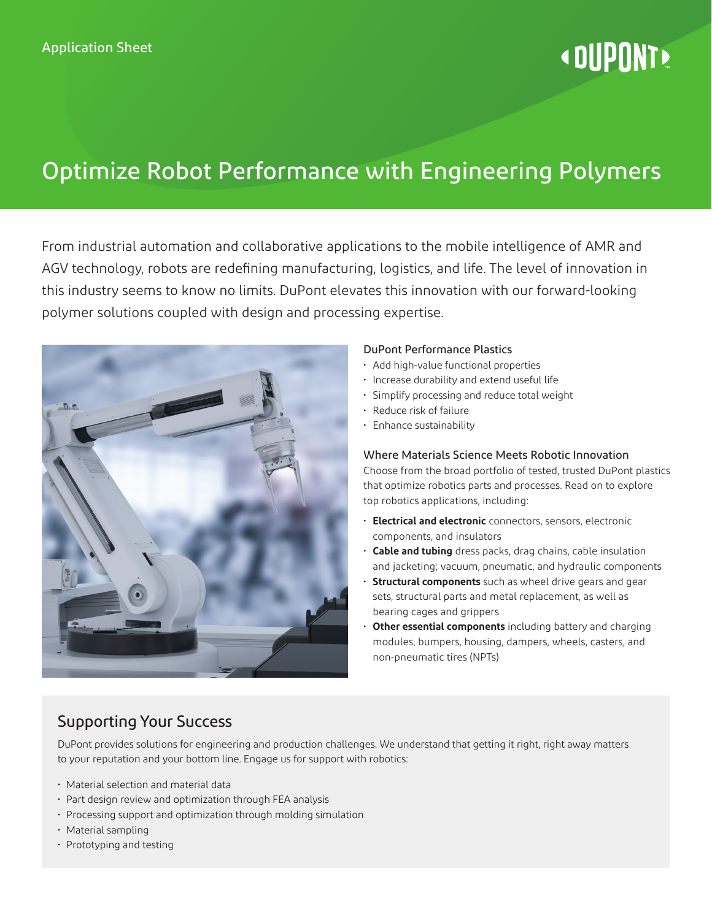# **«DUPONT»**

# Optimize Robot Performance with Engineering Polymers

From industrial automation and collaborative applications to the mobile intelligence of AMR and AGV technology, robots are redefining manufacturing, logistics, and life. The level of innovation in this industry seems to know no limits. DuPont elevates this innovation with our forward-looking polymer solutions coupled with design and processing expertise.



#### DuPont Performance Plastics

- Add high-value functional properties
- Increase durability and extend useful life
- Simplify processing and reduce total weight
- Reduce risk of failure
- Enhance sustainability

#### Where Materials Science Meets Robotic Innovation

Choose from the broad portfolio of tested, trusted DuPont plastics that optimize robotics parts and processes. Read on to explore top robotics applications, including:

- **Electrical and electronic** connectors, sensors, electronic components, and insulators
- **Cable and tubing** dress packs, drag chains, cable insulation and jacketing; vacuum, pneumatic, and hydraulic components
- **Structural components** such as wheel drive gears and gear sets, structural parts and metal replacement, as well as bearing cages and grippers
- **Other essential components** including battery and charging modules, bumpers, housing, dampers, wheels, casters, and non-pneumatic tires (NPTs)

# Supporting Your Success

DuPont provides solutions for engineering and production challenges. We understand that getting it right, right away matters to your reputation and your bottom line. Engage us for support with robotics:

- Material selection and material data
- Part design review and optimization through FEA analysis
- Processing support and optimization through molding simulation
- Material sampling
- Prototyping and testing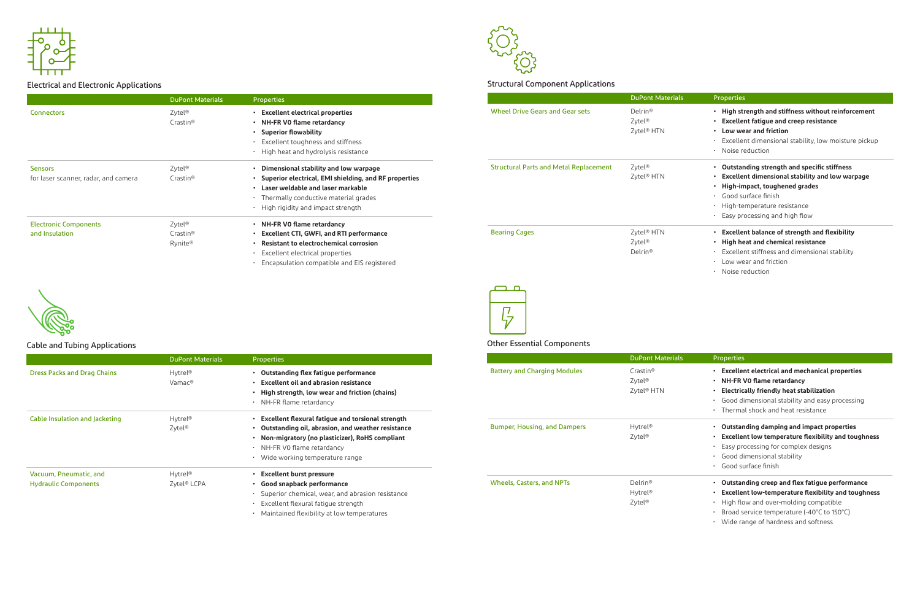|                                    | <b>DuPont Materials</b> | <b>Properties</b>                                   |
|------------------------------------|-------------------------|-----------------------------------------------------|
| <b>Dress Packs and Drag Chains</b> | Hytrel <sup>®</sup>     | Outstanding flex fatigue performance                |
|                                    | Vamac®                  | <b>Excellent oil and abrasion resistance</b>        |
|                                    |                         | High strength, low wear and friction (chains)       |
|                                    |                         | NH-FR flame retardancy<br>٠                         |
| Cable Insulation and Jacketing     | Hytrel <sup>®</sup>     | • Excellent flexural fatigue and torsional strength |
|                                    | Zytel <sup>®</sup>      | Outstanding oil, abrasion, and weather resistance   |
|                                    |                         | Non-migratory (no plasticizer), RoHS compliant      |
|                                    |                         | NH-FR VO flame retardancy                           |
|                                    |                         | · Wide working temperature range                    |
| Vacuum, Pneumatic, and             | Hytrel <sup>®</sup>     | <b>Excellent burst pressure</b>                     |
| <b>Hydraulic Components</b>        | Zytel <sup>®</sup> LCPA | • Good snapback performance                         |
|                                    |                         | Superior chemical, wear, and abrasion resistance    |
|                                    |                         | Excellent flexural fatigue strength                 |
|                                    |                         | Maintained flexibility at low temperatures          |



|                                      | <b>DuPont Materials</b> | <b>Properties</b>                                       |                                               | <b>DuPont Materi</b> |
|--------------------------------------|-------------------------|---------------------------------------------------------|-----------------------------------------------|----------------------|
| <b>Connectors</b>                    | Zytel <sup>®</sup>      | <b>Excellent electrical properties</b>                  | <b>Wheel Drive Gears and Gear sets</b>        | Delrin <sup>®</sup>  |
|                                      | Crastin <sup>®</sup>    | • NH-FR VO flame retardancy                             |                                               | Zytel <sup>®</sup>   |
|                                      |                         | • Superior flowability                                  |                                               | Zytel® HTN           |
|                                      |                         | Excellent toughness and stiffness                       |                                               |                      |
|                                      |                         | • High heat and hydrolysis resistance                   |                                               |                      |
| <b>Sensors</b>                       | Zytel <sup>®</sup>      | Dimensional stability and low warpage                   | <b>Structural Parts and Metal Replacement</b> | Zytel <sup>®</sup>   |
| for laser scanner, radar, and camera | Crastin <sup>®</sup>    | • Superior electrical, EMI shielding, and RF properties |                                               | Zytel® HTN           |
|                                      |                         | • Laser weldable and laser markable                     |                                               |                      |
|                                      |                         | • Thermally conductive material grades                  |                                               |                      |
|                                      |                         | $\cdot$ High rigidity and impact strength               |                                               |                      |
| <b>Electronic Components</b>         | $Z$ ytel <sup>®</sup>   | • NH-FR VO flame retardancy                             |                                               |                      |
| and Insulation                       | Crastin <sup>®</sup>    | <b>Excellent CTI, GWFI, and RTI performance</b>         | <b>Bearing Cages</b>                          | Zytel® HTN           |
|                                      | Rynite®                 | • Resistant to electrochemical corrosion                |                                               | Zytel <sup>®</sup>   |
|                                      |                         | Excellent electrical properties                         |                                               | Delrin®              |
|                                      |                         | Encapsulation compatible and EIS registered             |                                               |                      |





## Electrical and Electronic Applications



## Cable and Tubing Applications

|                                     | <b>DuPont Materials</b> |
|-------------------------------------|-------------------------|
| <b>Battery and Charging Modules</b> | Crastin <sup>®</sup>    |
|                                     | Zytel <sup>®</sup>      |
|                                     | Zytel <sup>®</sup> HTN  |
|                                     |                         |
| <b>Bumper, Housing, and Dampers</b> | Hytrel <sup>®</sup>     |
|                                     | Zytel <sup>®</sup>      |
|                                     |                         |
|                                     |                         |
| <b>Wheels, Casters, and NPTs</b>    | Delrin <sup>®</sup>     |
|                                     | Hytrel <sup>®</sup>     |
|                                     | Zytel®                  |
|                                     |                         |

| ials | <b>Properties</b>                                                                                                                                                                                                                                                   |
|------|---------------------------------------------------------------------------------------------------------------------------------------------------------------------------------------------------------------------------------------------------------------------|
|      | High strength and stiffness without reinforcement<br>٠<br><b>Excellent fatigue and creep resistance</b><br>$\bullet$<br>Low wear and friction<br>٠<br>· Excellent dimensional stability, low moisture pickup<br>Noise reduction<br>$\bullet$                        |
|      | Outstanding strength and specific stiffness<br>٠<br><b>Excellent dimensional stability and low warpage</b><br>$\bullet$<br>High-impact, toughened grades<br>٠<br>$\cdot$ Good surface finish<br>High-temperature resistance<br>. .<br>Easy processing and high flow |
|      | <b>Excellent balance of strength and flexibility</b><br>$\bullet$<br>High heat and chemical resistance<br>$\bullet$<br>Excellent stiffness and dimensional stability<br>$\bullet$<br>Low wear and friction<br>٠<br>Noise reduction                                  |

| ials                                  | <b>Properties</b>                                                                                                                                                                                                                   |
|---------------------------------------|-------------------------------------------------------------------------------------------------------------------------------------------------------------------------------------------------------------------------------------|
| ٠<br>$\bullet$<br>$\bullet$<br>٠<br>٠ | <b>Excellent electrical and mechanical properties</b><br><b>NH-FR VO flame retardancy</b><br>Electrically friendly heat stabilization<br>Good dimensional stability and easy processing<br>Thermal shock and heat resistance        |
| ٠<br>$\bullet$<br>٠                   | Outstanding damping and impact properties<br><b>Excellent low temperature flexibility and toughness</b><br>Easy processing for complex designs<br>Good dimensional stability<br>Good surface finish                                 |
| ٠<br>٠<br>٠<br>٠                      | Outstanding creep and flex fatigue performance<br>Excellent low-temperature flexibility and toughness<br>High flow and over-molding compatible<br>Broad service temperature (-40°C to 150°C)<br>Wide range of hardness and softness |

## Structural Component Applications

#### Other Essential Components